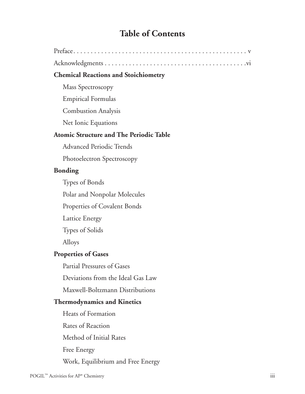# **Table of Contents**

| <b>Chemical Reactions and Stoichiometry</b> |  |
|---------------------------------------------|--|
| Mass Spectroscopy                           |  |
| <b>Empirical Formulas</b>                   |  |

Combustion Analysis

Net Ionic Equations

#### **Atomic Structure and The Periodic Table**

Advanced Periodic Trends

Photoelectron Spectroscopy

### **Bonding**

Types of Bonds

Polar and Nonpolar Molecules

Properties of Covalent Bonds

Lattice Energy

Types of Solids

Alloys

### **Properties of Gases**

Partial Pressures of Gases

Deviations from the Ideal Gas Law

Maxwell-Boltzmann Distributions

### **Thermodynamics and Kinetics**

Heats of Formation Rates of Reaction Method of Initial Rates Free Energy Work, Equilibrium and Free Energy